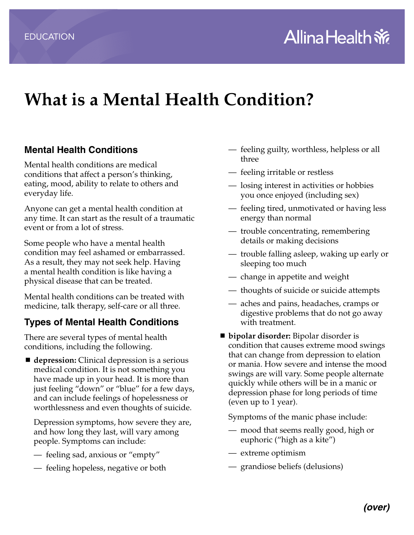## **What is a Mental Health Condition?**

## **Mental Health Conditions**

Mental health conditions are medical conditions that affect a person's thinking, eating, mood, ability to relate to others and everyday life.

Anyone can get a mental health condition at any time. It can start as the result of a traumatic event or from a lot of stress.

Some people who have a mental health condition may feel ashamed or embarrassed. As a result, they may not seek help. Having a mental health condition is like having a physical disease that can be treated.

Mental health conditions can be treated with medicine, talk therapy, self-care or all three.

## **Types of Mental Health Conditions**

There are several types of mental health conditions, including the following.

■ **depression:** Clinical depression is a serious medical condition. It is not something you have made up in your head. It is more than just feeling "down" or "blue" for a few days, and can include feelings of hopelessness or worthlessness and even thoughts of suicide.

Depression symptoms, how severe they are, and how long they last, will vary among people. Symptoms can include:

- feeling sad, anxious or "empty"
- feeling hopeless, negative or both
- feeling guilty, worthless, helpless or all three
- feeling irritable or restless
- losing interest in activities or hobbies you once enjoyed (including sex)
- feeling tired, unmotivated or having less energy than normal
- trouble concentrating, remembering details or making decisions
- trouble falling asleep, waking up early or sleeping too much
- change in appetite and weight
- thoughts of suicide or suicide attempts
- aches and pains, headaches, cramps or digestive problems that do not go away with treatment.
- **bipolar disorder:** Bipolar disorder is condition that causes extreme mood swings that can change from depression to elation or mania. How severe and intense the mood swings are will vary. Some people alternate quickly while others will be in a manic or depression phase for long periods of time (even up to 1 year).

Symptoms of the manic phase include:

- mood that seems really good, high or euphoric ("high as a kite")
- extreme optimism
- grandiose beliefs (delusions)